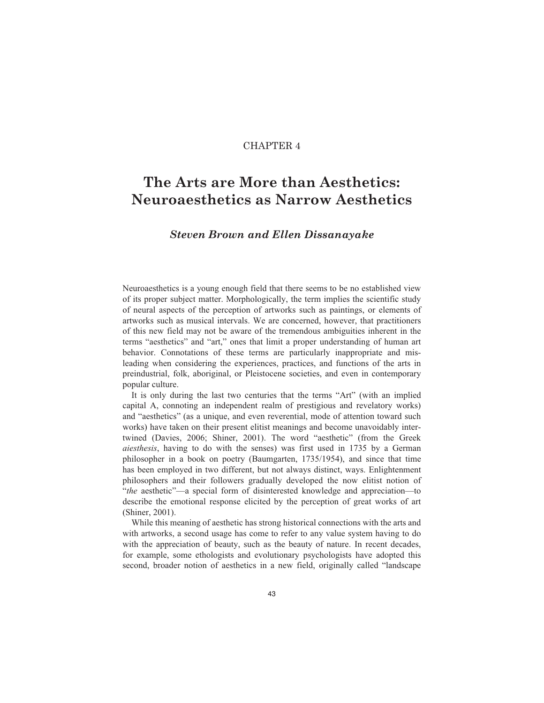# CHAPTER 4

# **The Arts are More than Aesthetics: Neuroaesthetics as Narrow Aesthetics**

# *Steven Brown and Ellen Dissanayake*

Neuroaesthetics is a young enough field that there seems to be no established view of its proper subject matter. Morphologically, the term implies the scientific study of neural aspects of the perception of artworks such as paintings, or elements of artworks such as musical intervals. We are concerned, however, that practitioners of this new field may not be aware of the tremendous ambiguities inherent in the terms "aesthetics" and "art," ones that limit a proper understanding of human art behavior. Connotations of these terms are particularly inappropriate and misleading when considering the experiences, practices, and functions of the arts in preindustrial, folk, aboriginal, or Pleistocene societies, and even in contemporary popular culture.

It is only during the last two centuries that the terms "Art" (with an implied capital A, connoting an independent realm of prestigious and revelatory works) and "aesthetics" (as a unique, and even reverential, mode of attention toward such works) have taken on their present elitist meanings and become unavoidably intertwined (Davies, 2006; Shiner, 2001). The word "aesthetic" (from the Greek *aiesthesis*, having to do with the senses) was first used in 1735 by a German philosopher in a book on poetry (Baumgarten, 1735/1954), and since that time has been employed in two different, but not always distinct, ways. Enlightenment philosophers and their followers gradually developed the now elitist notion of "*the* aesthetic"—a special form of disinterested knowledge and appreciation—to describe the emotional response elicited by the perception of great works of art (Shiner, 2001).

While this meaning of aesthetic has strong historical connections with the arts and with artworks, a second usage has come to refer to any value system having to do with the appreciation of beauty, such as the beauty of nature. In recent decades, for example, some ethologists and evolutionary psychologists have adopted this second, broader notion of aesthetics in a new field, originally called "landscape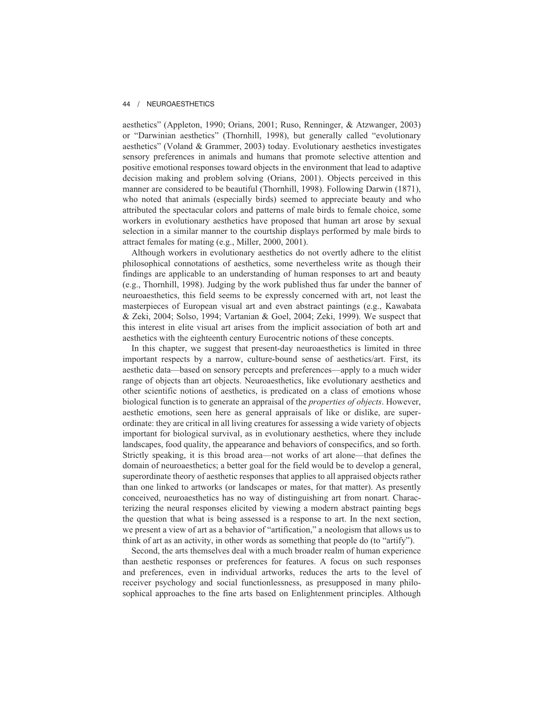aesthetics" (Appleton, 1990; Orians, 2001; Ruso, Renninger, & Atzwanger, 2003) or "Darwinian aesthetics" (Thornhill, 1998), but generally called "evolutionary aesthetics" (Voland & Grammer, 2003) today. Evolutionary aesthetics investigates sensory preferences in animals and humans that promote selective attention and positive emotional responses toward objects in the environment that lead to adaptive decision making and problem solving (Orians, 2001). Objects perceived in this manner are considered to be beautiful (Thornhill, 1998). Following Darwin (1871), who noted that animals (especially birds) seemed to appreciate beauty and who attributed the spectacular colors and patterns of male birds to female choice, some workers in evolutionary aesthetics have proposed that human art arose by sexual selection in a similar manner to the courtship displays performed by male birds to attract females for mating (e.g., Miller, 2000, 2001).

Although workers in evolutionary aesthetics do not overtly adhere to the elitist philosophical connotations of aesthetics, some nevertheless write as though their findings are applicable to an understanding of human responses to art and beauty (e.g., Thornhill, 1998). Judging by the work published thus far under the banner of neuroaesthetics, this field seems to be expressly concerned with art, not least the masterpieces of European visual art and even abstract paintings (e.g., Kawabata & Zeki, 2004; Solso, 1994; Vartanian & Goel, 2004; Zeki, 1999). We suspect that this interest in elite visual art arises from the implicit association of both art and aesthetics with the eighteenth century Eurocentric notions of these concepts.

In this chapter, we suggest that present-day neuroaesthetics is limited in three important respects by a narrow, culture-bound sense of aesthetics/art. First, its aesthetic data—based on sensory percepts and preferences—apply to a much wider range of objects than art objects. Neuroaesthetics, like evolutionary aesthetics and other scientific notions of aesthetics, is predicated on a class of emotions whose biological function is to generate an appraisal of the *properties of objects*. However, aesthetic emotions, seen here as general appraisals of like or dislike, are superordinate: they are critical in all living creatures for assessing a wide variety of objects important for biological survival, as in evolutionary aesthetics, where they include landscapes, food quality, the appearance and behaviors of conspecifics, and so forth. Strictly speaking, it is this broad area—not works of art alone—that defines the domain of neuroaesthetics; a better goal for the field would be to develop a general, superordinate theory of aesthetic responses that applies to all appraised objects rather than one linked to artworks (or landscapes or mates, for that matter). As presently conceived, neuroaesthetics has no way of distinguishing art from nonart. Characterizing the neural responses elicited by viewing a modern abstract painting begs the question that what is being assessed is a response to art. In the next section, we present a view of art as a behavior of "artification," a neologism that allows us to think of art as an activity, in other words as something that people do (to "artify").

Second, the arts themselves deal with a much broader realm of human experience than aesthetic responses or preferences for features. A focus on such responses and preferences, even in individual artworks, reduces the arts to the level of receiver psychology and social functionlessness, as presupposed in many philosophical approaches to the fine arts based on Enlightenment principles. Although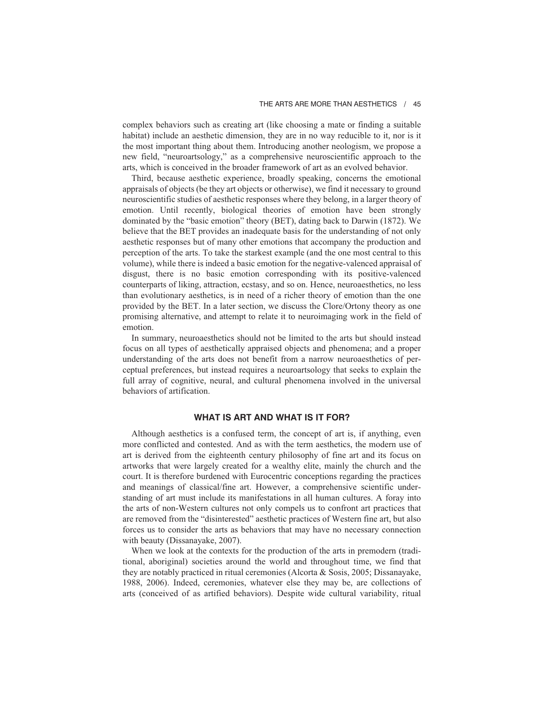complex behaviors such as creating art (like choosing a mate or finding a suitable habitat) include an aesthetic dimension, they are in no way reducible to it, nor is it the most important thing about them. Introducing another neologism, we propose a new field, "neuroartsology," as a comprehensive neuroscientific approach to the arts, which is conceived in the broader framework of art as an evolved behavior.

Third, because aesthetic experience, broadly speaking, concerns the emotional appraisals of objects (be they art objects or otherwise), we find it necessary to ground neuroscientific studies of aesthetic responses where they belong, in a larger theory of emotion. Until recently, biological theories of emotion have been strongly dominated by the "basic emotion" theory (BET), dating back to Darwin (1872). We believe that the BET provides an inadequate basis for the understanding of not only aesthetic responses but of many other emotions that accompany the production and perception of the arts. To take the starkest example (and the one most central to this volume), while there is indeed a basic emotion for the negative-valenced appraisal of disgust, there is no basic emotion corresponding with its positive-valenced counterparts of liking, attraction, ecstasy, and so on. Hence, neuroaesthetics, no less than evolutionary aesthetics, is in need of a richer theory of emotion than the one provided by the BET. In a later section, we discuss the Clore/Ortony theory as one promising alternative, and attempt to relate it to neuroimaging work in the field of emotion.

In summary, neuroaesthetics should not be limited to the arts but should instead focus on all types of aesthetically appraised objects and phenomena; and a proper understanding of the arts does not benefit from a narrow neuroaesthetics of perceptual preferences, but instead requires a neuroartsology that seeks to explain the full array of cognitive, neural, and cultural phenomena involved in the universal behaviors of artification.

# **WHAT IS ART AND WHAT IS IT FOR?**

Although aesthetics is a confused term, the concept of art is, if anything, even more conflicted and contested. And as with the term aesthetics, the modern use of art is derived from the eighteenth century philosophy of fine art and its focus on artworks that were largely created for a wealthy elite, mainly the church and the court. It is therefore burdened with Eurocentric conceptions regarding the practices and meanings of classical/fine art. However, a comprehensive scientific understanding of art must include its manifestations in all human cultures. A foray into the arts of non-Western cultures not only compels us to confront art practices that are removed from the "disinterested" aesthetic practices of Western fine art, but also forces us to consider the arts as behaviors that may have no necessary connection with beauty (Dissanayake, 2007).

When we look at the contexts for the production of the arts in premodern (traditional, aboriginal) societies around the world and throughout time, we find that they are notably practiced in ritual ceremonies (Alcorta & Sosis, 2005; Dissanayake, 1988, 2006). Indeed, ceremonies, whatever else they may be, are collections of arts (conceived of as artified behaviors). Despite wide cultural variability, ritual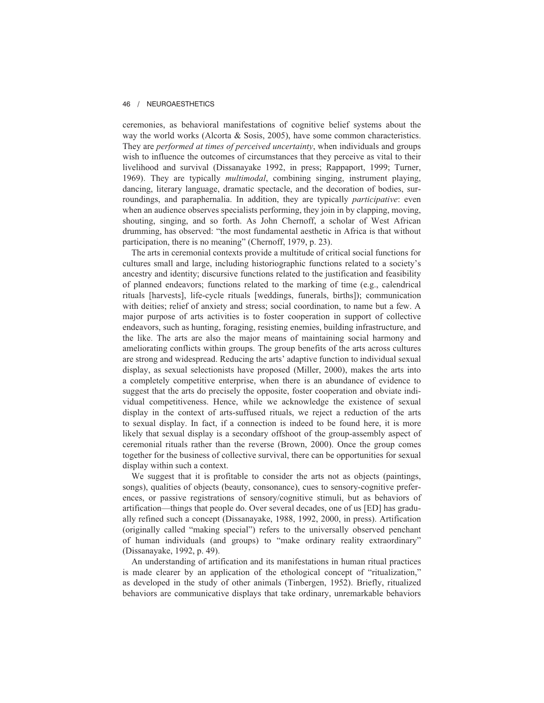ceremonies, as behavioral manifestations of cognitive belief systems about the way the world works (Alcorta & Sosis, 2005), have some common characteristics. They are *performed at times of perceived uncertainty*, when individuals and groups wish to influence the outcomes of circumstances that they perceive as vital to their livelihood and survival (Dissanayake 1992, in press; Rappaport, 1999; Turner, 1969). They are typically *multimodal*, combining singing, instrument playing, dancing, literary language, dramatic spectacle, and the decoration of bodies, surroundings, and paraphernalia. In addition, they are typically *participative*: even when an audience observes specialists performing, they join in by clapping, moving, shouting, singing, and so forth. As John Chernoff, a scholar of West African drumming, has observed: "the most fundamental aesthetic in Africa is that without participation, there is no meaning" (Chernoff, 1979, p. 23).

The arts in ceremonial contexts provide a multitude of critical social functions for cultures small and large, including historiographic functions related to a society's ancestry and identity; discursive functions related to the justification and feasibility of planned endeavors; functions related to the marking of time (e.g., calendrical rituals [harvests], life-cycle rituals [weddings, funerals, births]); communication with deities; relief of anxiety and stress; social coordination, to name but a few. A major purpose of arts activities is to foster cooperation in support of collective endeavors, such as hunting, foraging, resisting enemies, building infrastructure, and the like. The arts are also the major means of maintaining social harmony and ameliorating conflicts within groups. The group benefits of the arts across cultures are strong and widespread. Reducing the arts' adaptive function to individual sexual display, as sexual selectionists have proposed (Miller, 2000), makes the arts into a completely competitive enterprise, when there is an abundance of evidence to suggest that the arts do precisely the opposite, foster cooperation and obviate individual competitiveness. Hence, while we acknowledge the existence of sexual display in the context of arts-suffused rituals, we reject a reduction of the arts to sexual display. In fact, if a connection is indeed to be found here, it is more likely that sexual display is a secondary offshoot of the group-assembly aspect of ceremonial rituals rather than the reverse (Brown, 2000). Once the group comes together for the business of collective survival, there can be opportunities for sexual display within such a context.

We suggest that it is profitable to consider the arts not as objects (paintings, songs), qualities of objects (beauty, consonance), cues to sensory-cognitive preferences, or passive registrations of sensory/cognitive stimuli, but as behaviors of artification—things that people do. Over several decades, one of us [ED] has gradually refined such a concept (Dissanayake, 1988, 1992, 2000, in press). Artification (originally called "making special") refers to the universally observed penchant of human individuals (and groups) to "make ordinary reality extraordinary" (Dissanayake, 1992, p. 49).

An understanding of artification and its manifestations in human ritual practices is made clearer by an application of the ethological concept of "ritualization," as developed in the study of other animals (Tinbergen, 1952). Briefly, ritualized behaviors are communicative displays that take ordinary, unremarkable behaviors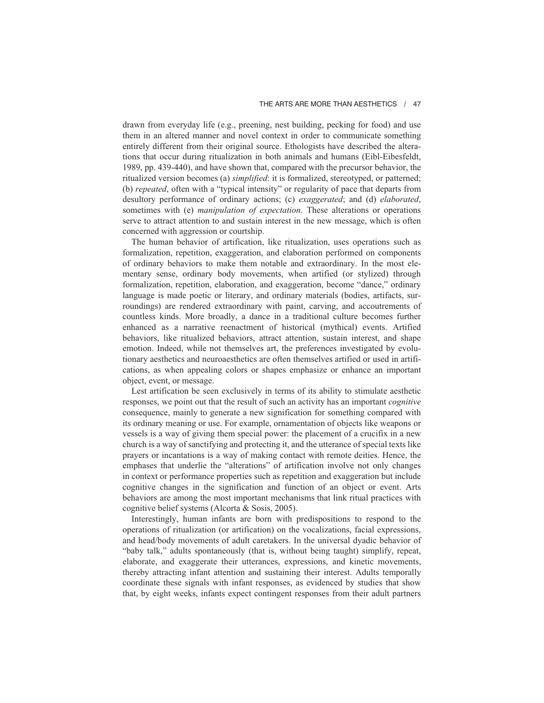drawn from everyday life (e.g., preening, nest building, pecking for food) and use them in an altered manner and novel context in order to communicate something entirely different from their original source. Ethologists have described the alterations that occur during ritualization in both animals and humans (Eibl-Eibesfeldt, 1989, pp. 439-440), and have shown that, compared with the precursor behavior, the ritualized version becomes (a) *simplified*: it is formalized, stereotyped, or patterned; (b) *repeated*, often with a "typical intensity" or regularity of pace that departs from desultory performance of ordinary actions; (c) *exaggerated*; and (d) *elaborated*, sometimes with (e) *manipulation of expectation*. These alterations or operations serve to attract attention to and sustain interest in the new message, which is often concerned with aggression or courtship.

The human behavior of artification, like ritualization, uses operations such as formalization, repetition, exaggeration, and elaboration performed on components of ordinary behaviors to make them notable and extraordinary. In the most elementary sense, ordinary body movements, when artified (or stylized) through formalization, repetition, elaboration, and exaggeration, become "dance," ordinary language is made poetic or literary, and ordinary materials (bodies, artifacts, surroundings) are rendered extraordinary with paint, carving, and accoutrements of countless kinds. More broadly, a dance in a traditional culture becomes further enhanced as a narrative reenactment of historical (mythical) events. Artified behaviors, like ritualized behaviors, attract attention, sustain interest, and shape emotion. Indeed, while not themselves art, the preferences investigated by evolutionary aesthetics and neuroaesthetics are often themselves artified or used in artifications, as when appealing colors or shapes emphasize or enhance an important object, event, or message.

Lest artification be seen exclusively in terms of its ability to stimulate aesthetic responses, we point out that the result of such an activity has an important *cognitive* consequence, mainly to generate a new signification for something compared with its ordinary meaning or use. For example, ornamentation of objects like weapons or vessels is a way of giving them special power: the placement of a crucifix in a new church is a way of sanctifying and protecting it, and the utterance of special texts like prayers or incantations is a way of making contact with remote deities. Hence, the emphases that underlie the "alterations" of artification involve not only changes in context or performance properties such as repetition and exaggeration but include cognitive changes in the signification and function of an object or event. Arts behaviors are among the most important mechanisms that link ritual practices with cognitive belief systems (Alcorta & Sosis, 2005).

Interestingly, human infants are born with predispositions to respond to the operations of ritualization (or artification) on the vocalizations, facial expressions, and head/body movements of adult caretakers. In the universal dyadic behavior of "baby talk," adults spontaneously (that is, without being taught) simplify, repeat, elaborate, and exaggerate their utterances, expressions, and kinetic movements, thereby attracting infant attention and sustaining their interest. Adults temporally coordinate these signals with infant responses, as evidenced by studies that show that, by eight weeks, infants expect contingent responses from their adult partners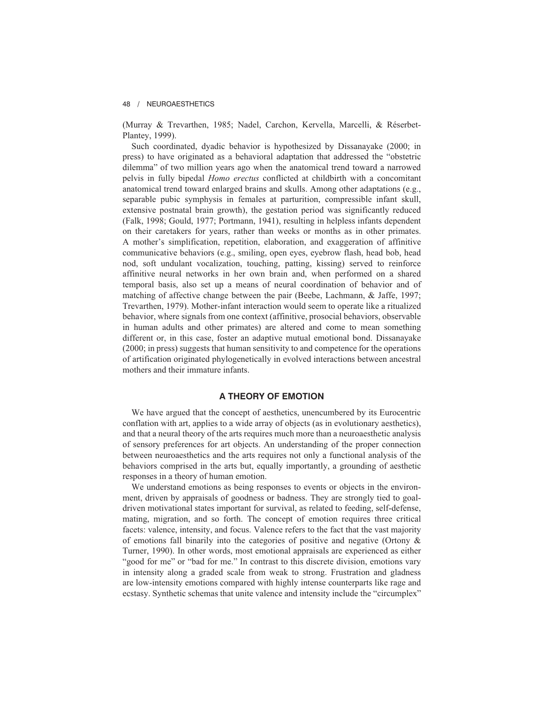(Murray & Trevarthen, 1985; Nadel, Carchon, Kervella, Marcelli, & Réserbet-Plantey, 1999).

Such coordinated, dyadic behavior is hypothesized by Dissanayake (2000; in press) to have originated as a behavioral adaptation that addressed the "obstetric dilemma" of two million years ago when the anatomical trend toward a narrowed pelvis in fully bipedal *Homo erectus* conflicted at childbirth with a concomitant anatomical trend toward enlarged brains and skulls. Among other adaptations (e.g., separable pubic symphysis in females at parturition, compressible infant skull, extensive postnatal brain growth), the gestation period was significantly reduced (Falk, 1998; Gould, 1977; Portmann, 1941), resulting in helpless infants dependent on their caretakers for years, rather than weeks or months as in other primates. A mother's simplification, repetition, elaboration, and exaggeration of affinitive communicative behaviors (e.g., smiling, open eyes, eyebrow flash, head bob, head nod, soft undulant vocalization, touching, patting, kissing) served to reinforce affinitive neural networks in her own brain and, when performed on a shared temporal basis, also set up a means of neural coordination of behavior and of matching of affective change between the pair (Beebe, Lachmann, & Jaffe, 1997; Trevarthen, 1979). Mother-infant interaction would seem to operate like a ritualized behavior, where signals from one context (affinitive, prosocial behaviors, observable in human adults and other primates) are altered and come to mean something different or, in this case, foster an adaptive mutual emotional bond. Dissanayake (2000; in press) suggests that human sensitivity to and competence for the operations of artification originated phylogenetically in evolved interactions between ancestral mothers and their immature infants.

# **A THEORY OF EMOTION**

We have argued that the concept of aesthetics, unencumbered by its Eurocentric conflation with art, applies to a wide array of objects (as in evolutionary aesthetics), and that a neural theory of the arts requires much more than a neuroaesthetic analysis of sensory preferences for art objects. An understanding of the proper connection between neuroaesthetics and the arts requires not only a functional analysis of the behaviors comprised in the arts but, equally importantly, a grounding of aesthetic responses in a theory of human emotion.

We understand emotions as being responses to events or objects in the environment, driven by appraisals of goodness or badness. They are strongly tied to goaldriven motivational states important for survival, as related to feeding, self-defense, mating, migration, and so forth. The concept of emotion requires three critical facets: valence, intensity, and focus. Valence refers to the fact that the vast majority of emotions fall binarily into the categories of positive and negative (Ortony  $\&$ Turner, 1990). In other words, most emotional appraisals are experienced as either "good for me" or "bad for me." In contrast to this discrete division, emotions vary in intensity along a graded scale from weak to strong. Frustration and gladness are low-intensity emotions compared with highly intense counterparts like rage and ecstasy. Synthetic schemas that unite valence and intensity include the "circumplex"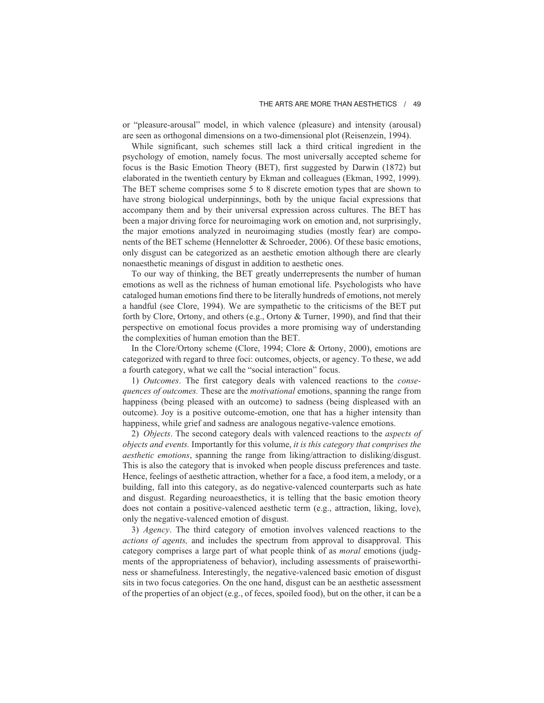## THE ARTS ARE MORE THAN AESTHETICS / 49

or "pleasure-arousal" model, in which valence (pleasure) and intensity (arousal) are seen as orthogonal dimensions on a two-dimensional plot (Reisenzein, 1994).

While significant, such schemes still lack a third critical ingredient in the psychology of emotion, namely focus. The most universally accepted scheme for focus is the Basic Emotion Theory (BET), first suggested by Darwin (1872) but elaborated in the twentieth century by Ekman and colleagues (Ekman, 1992, 1999). The BET scheme comprises some 5 to 8 discrete emotion types that are shown to have strong biological underpinnings, both by the unique facial expressions that accompany them and by their universal expression across cultures. The BET has been a major driving force for neuroimaging work on emotion and, not surprisingly, the major emotions analyzed in neuroimaging studies (mostly fear) are components of the BET scheme (Hennelotter & Schroeder, 2006). Of these basic emotions, only disgust can be categorized as an aesthetic emotion although there are clearly nonaesthetic meanings of disgust in addition to aesthetic ones.

To our way of thinking, the BET greatly underrepresents the number of human emotions as well as the richness of human emotional life. Psychologists who have cataloged human emotions find there to be literally hundreds of emotions, not merely a handful (see Clore, 1994). We are sympathetic to the criticisms of the BET put forth by Clore, Ortony, and others (e.g., Ortony & Turner, 1990), and find that their perspective on emotional focus provides a more promising way of understanding the complexities of human emotion than the BET.

In the Clore/Ortony scheme (Clore, 1994; Clore & Ortony, 2000), emotions are categorized with regard to three foci: outcomes, objects, or agency. To these, we add a fourth category, what we call the "social interaction" focus.

1) *Outcomes*. The first category deals with valenced reactions to the *consequences of outcomes.* These are the *motivational* emotions, spanning the range from happiness (being pleased with an outcome) to sadness (being displeased with an outcome). Joy is a positive outcome-emotion, one that has a higher intensity than happiness, while grief and sadness are analogous negative-valence emotions.

2) *Objects*. The second category deals with valenced reactions to the *aspects of objects and events.* Importantly for this volume, *it is this category that comprises the aesthetic emotions*, spanning the range from liking/attraction to disliking/disgust. This is also the category that is invoked when people discuss preferences and taste. Hence, feelings of aesthetic attraction, whether for a face, a food item, a melody, or a building, fall into this category, as do negative-valenced counterparts such as hate and disgust. Regarding neuroaesthetics, it is telling that the basic emotion theory does not contain a positive-valenced aesthetic term (e.g., attraction, liking, love), only the negative-valenced emotion of disgust.

3) *Agency*. The third category of emotion involves valenced reactions to the *actions of agents,* and includes the spectrum from approval to disapproval. This category comprises a large part of what people think of as *moral* emotions (judgments of the appropriateness of behavior), including assessments of praiseworthiness or shamefulness. Interestingly, the negative-valenced basic emotion of disgust sits in two focus categories. On the one hand, disgust can be an aesthetic assessment of the properties of an object (e.g., of feces, spoiled food), but on the other, it can be a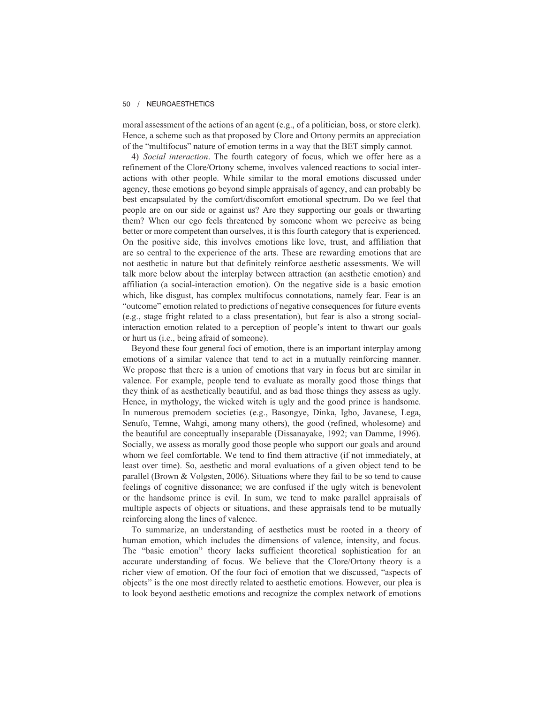moral assessment of the actions of an agent (e.g., of a politician, boss, or store clerk). Hence, a scheme such as that proposed by Clore and Ortony permits an appreciation of the "multifocus" nature of emotion terms in a way that the BET simply cannot.

4) *Social interaction*. The fourth category of focus, which we offer here as a refinement of the Clore/Ortony scheme, involves valenced reactions to social interactions with other people. While similar to the moral emotions discussed under agency, these emotions go beyond simple appraisals of agency, and can probably be best encapsulated by the comfort/discomfort emotional spectrum. Do we feel that people are on our side or against us? Are they supporting our goals or thwarting them? When our ego feels threatened by someone whom we perceive as being better or more competent than ourselves, it is this fourth category that is experienced. On the positive side, this involves emotions like love, trust, and affiliation that are so central to the experience of the arts. These are rewarding emotions that are not aesthetic in nature but that definitely reinforce aesthetic assessments. We will talk more below about the interplay between attraction (an aesthetic emotion) and affiliation (a social-interaction emotion). On the negative side is a basic emotion which, like disgust, has complex multifocus connotations, namely fear. Fear is an "outcome" emotion related to predictions of negative consequences for future events (e.g., stage fright related to a class presentation), but fear is also a strong socialinteraction emotion related to a perception of people's intent to thwart our goals or hurt us (i.e., being afraid of someone).

Beyond these four general foci of emotion, there is an important interplay among emotions of a similar valence that tend to act in a mutually reinforcing manner. We propose that there is a union of emotions that vary in focus but are similar in valence. For example, people tend to evaluate as morally good those things that they think of as aesthetically beautiful, and as bad those things they assess as ugly. Hence, in mythology, the wicked witch is ugly and the good prince is handsome. In numerous premodern societies (e.g., Basongye, Dinka, Igbo, Javanese, Lega, Senufo, Temne, Wahgi, among many others), the good (refined, wholesome) and the beautiful are conceptually inseparable (Dissanayake, 1992; van Damme, 1996). Socially, we assess as morally good those people who support our goals and around whom we feel comfortable. We tend to find them attractive (if not immediately, at least over time). So, aesthetic and moral evaluations of a given object tend to be parallel (Brown & Volgsten, 2006). Situations where they fail to be so tend to cause feelings of cognitive dissonance; we are confused if the ugly witch is benevolent or the handsome prince is evil. In sum, we tend to make parallel appraisals of multiple aspects of objects or situations, and these appraisals tend to be mutually reinforcing along the lines of valence.

To summarize, an understanding of aesthetics must be rooted in a theory of human emotion, which includes the dimensions of valence, intensity, and focus. The "basic emotion" theory lacks sufficient theoretical sophistication for an accurate understanding of focus. We believe that the Clore/Ortony theory is a richer view of emotion. Of the four foci of emotion that we discussed, "aspects of objects" is the one most directly related to aesthetic emotions. However, our plea is to look beyond aesthetic emotions and recognize the complex network of emotions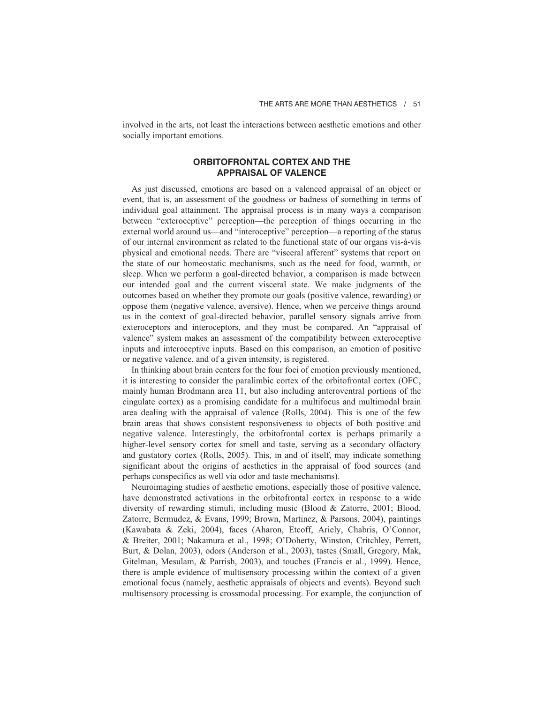involved in the arts, not least the interactions between aesthetic emotions and other socially important emotions.

# **ORBITOFRONTAL CORTEX AND THE APPRAISAL OF VALENCE**

As just discussed, emotions are based on a valenced appraisal of an object or event, that is, an assessment of the goodness or badness of something in terms of individual goal attainment. The appraisal process is in many ways a comparison between "exteroceptive" perception—the perception of things occurring in the external world around us—and "interoceptive" perception—a reporting of the status of our internal environment as related to the functional state of our organs vis-à-vis physical and emotional needs. There are "visceral afferent" systems that report on the state of our homeostatic mechanisms, such as the need for food, warmth, or sleep. When we perform a goal-directed behavior, a comparison is made between our intended goal and the current visceral state. We make judgments of the outcomes based on whether they promote our goals (positive valence, rewarding) or oppose them (negative valence, aversive). Hence, when we perceive things around us in the context of goal-directed behavior, parallel sensory signals arrive from exteroceptors and interoceptors, and they must be compared. An "appraisal of valence" system makes an assessment of the compatibility between exteroceptive inputs and interoceptive inputs. Based on this comparison, an emotion of positive or negative valence, and of a given intensity, is registered.

In thinking about brain centers for the four foci of emotion previously mentioned, it is interesting to consider the paralimbic cortex of the orbitofrontal cortex (OFC, mainly human Brodmann area 11, but also including anteroventral portions of the cingulate cortex) as a promising candidate for a multifocus and multimodal brain area dealing with the appraisal of valence (Rolls, 2004). This is one of the few brain areas that shows consistent responsiveness to objects of both positive and negative valence. Interestingly, the orbitofrontal cortex is perhaps primarily a higher-level sensory cortex for smell and taste, serving as a secondary olfactory and gustatory cortex (Rolls, 2005). This, in and of itself, may indicate something significant about the origins of aesthetics in the appraisal of food sources (and perhaps conspecifics as well via odor and taste mechanisms).

Neuroimaging studies of aesthetic emotions, especially those of positive valence, have demonstrated activations in the orbitofrontal cortex in response to a wide diversity of rewarding stimuli, including music (Blood & Zatorre, 2001; Blood, Zatorre, Bermudez, & Evans, 1999; Brown, Martinez, & Parsons, 2004), paintings (Kawabata & Zeki, 2004), faces (Aharon, Etcoff, Ariely, Chabris, O'Connor, & Breiter, 2001; Nakamura et al., 1998; O'Doherty, Winston, Critchley, Perrett, Burt, & Dolan, 2003), odors (Anderson et al., 2003), tastes (Small, Gregory, Mak, Gitelman, Mesulam, & Parrish, 2003), and touches (Francis et al., 1999). Hence, there is ample evidence of multisensory processing within the context of a given emotional focus (namely, aesthetic appraisals of objects and events). Beyond such multisensory processing is crossmodal processing. For example, the conjunction of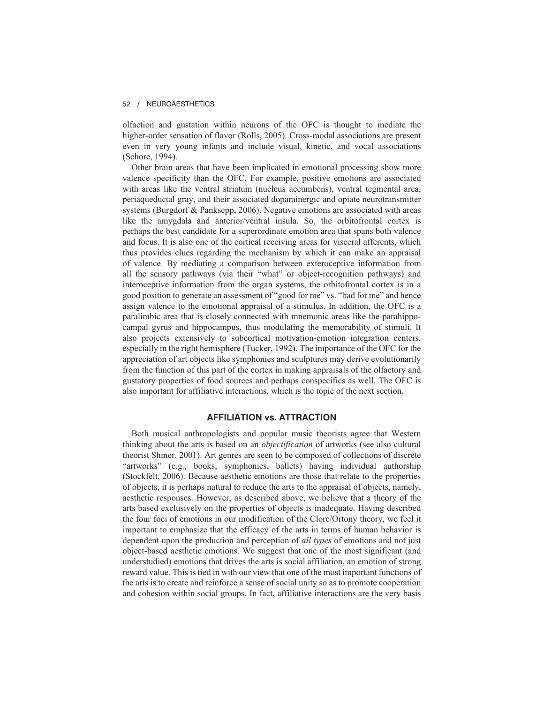olfaction and gustation within neurons of the OFC is thought to mediate the higher-order sensation of flavor (Rolls, 2005). Cross-modal associations are present even in very young infants and include visual, kinetic, and vocal associations (Schore, 1994).

Other brain areas that have been implicated in emotional processing show more valence specificity than the OFC. For example, positive emotions are associated with areas like the ventral striatum (nucleus accumbens), ventral tegmental area, periaqueductal gray, and their associated dopaminergic and opiate neurotransmitter systems (Burgdorf & Panksepp, 2006). Negative emotions are associated with areas like the amygdala and anterior/ventral insula. So, the orbitofrontal cortex is perhaps the best candidate for a superordinate emotion area that spans both valence and focus. It is also one of the cortical receiving areas for visceral afferents, which thus provides clues regarding the mechanism by which it can make an appraisal of valence. By mediating a comparison between exteroceptive information from all the sensory pathways (via their "what" or object-recognition pathways) and interoceptive information from the organ systems, the orbitofrontal cortex is in a good position to generate an assessment of "good for me" vs. "bad for me" and hence assign valence to the emotional appraisal of a stimulus. In addition, the OFC is a paralimbic area that is closely connected with mnemonic areas like the parahippocampal gyrus and hippocampus, thus modulating the memorability of stimuli. It also projects extensively to subcortical motivation-emotion integration centers, especially in the right hemisphere (Tucker, 1992). The importance of the OFC for the appreciation of art objects like symphonies and sculptures may derive evolutionarily from the function of this part of the cortex in making appraisals of the olfactory and gustatory properties of food sources and perhaps conspecifics as well. The OFC is also important for affiliative interactions, which is the topic of the next section.

### **AFFILIATION vs. ATTRACTION**

Both musical anthropologists and popular music theorists agree that Western thinking about the arts is based on an *objectification* of artworks (see also cultural theorist Shiner, 2001). Art genres are seen to be composed of collections of discrete "artworks" (e.g., books, symphonies, ballets) having individual authorship (Stockfelt, 2006). Because aesthetic emotions are those that relate to the properties of objects, it is perhaps natural to reduce the arts to the appraisal of objects, namely, aesthetic responses. However, as described above, we believe that a theory of the arts based exclusively on the properties of objects is inadequate. Having described the four foci of emotions in our modification of the Clore/Ortony theory, we feel it important to emphasize that the efficacy of the arts in terms of human behavior is dependent upon the production and perception of *all types* of emotions and not just object-based aesthetic emotions. We suggest that one of the most significant (and understudied) emotions that drives the arts is social affiliation, an emotion of strong reward value. This is tied in with our view that one of the most important functions of the arts is to create and reinforce a sense of social unity so as to promote cooperation and cohesion within social groups. In fact, affiliative interactions are the very basis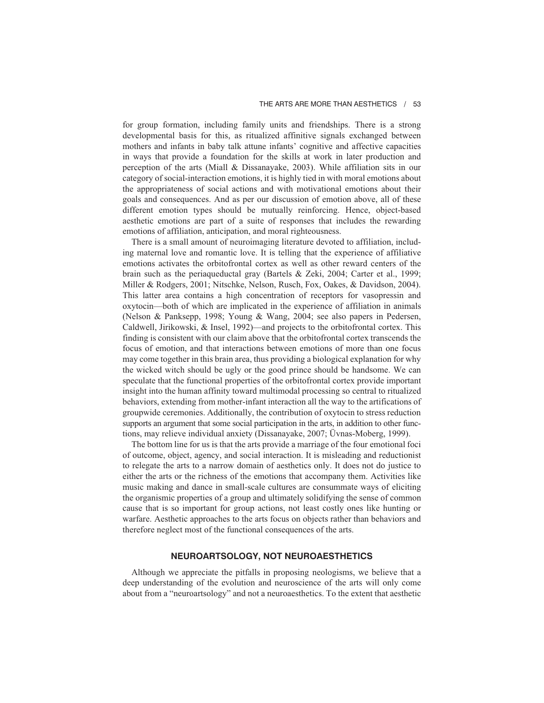for group formation, including family units and friendships. There is a strong developmental basis for this, as ritualized affinitive signals exchanged between mothers and infants in baby talk attune infants' cognitive and affective capacities in ways that provide a foundation for the skills at work in later production and perception of the arts (Miall & Dissanayake, 2003). While affiliation sits in our category of social-interaction emotions, it is highly tied in with moral emotions about the appropriateness of social actions and with motivational emotions about their goals and consequences. And as per our discussion of emotion above, all of these different emotion types should be mutually reinforcing. Hence, object-based aesthetic emotions are part of a suite of responses that includes the rewarding emotions of affiliation, anticipation, and moral righteousness.

There is a small amount of neuroimaging literature devoted to affiliation, including maternal love and romantic love. It is telling that the experience of affiliative emotions activates the orbitofrontal cortex as well as other reward centers of the brain such as the periaqueductal gray (Bartels & Zeki, 2004; Carter et al., 1999; Miller & Rodgers, 2001; Nitschke, Nelson, Rusch, Fox, Oakes, & Davidson, 2004). This latter area contains a high concentration of receptors for vasopressin and oxytocin—both of which are implicated in the experience of affiliation in animals (Nelson & Panksepp, 1998; Young & Wang, 2004; see also papers in Pedersen, Caldwell, Jirikowski, & Insel, 1992)—and projects to the orbitofrontal cortex. This finding is consistent with our claim above that the orbitofrontal cortex transcends the focus of emotion, and that interactions between emotions of more than one focus may come together in this brain area, thus providing a biological explanation for why the wicked witch should be ugly or the good prince should be handsome. We can speculate that the functional properties of the orbitofrontal cortex provide important insight into the human affinity toward multimodal processing so central to ritualized behaviors, extending from mother-infant interaction all the way to the artifications of groupwide ceremonies. Additionally, the contribution of oxytocin to stress reduction supports an argument that some social participation in the arts, in addition to other functions, may relieve individual anxiety (Dissanayake, 2007; Üvnas-Moberg, 1999).

The bottom line for us is that the arts provide a marriage of the four emotional foci of outcome, object, agency, and social interaction. It is misleading and reductionist to relegate the arts to a narrow domain of aesthetics only. It does not do justice to either the arts or the richness of the emotions that accompany them. Activities like music making and dance in small-scale cultures are consummate ways of eliciting the organismic properties of a group and ultimately solidifying the sense of common cause that is so important for group actions, not least costly ones like hunting or warfare. Aesthetic approaches to the arts focus on objects rather than behaviors and therefore neglect most of the functional consequences of the arts.

# **NEUROARTSOLOGY, NOT NEUROAESTHETICS**

Although we appreciate the pitfalls in proposing neologisms, we believe that a deep understanding of the evolution and neuroscience of the arts will only come about from a "neuroartsology" and not a neuroaesthetics. To the extent that aesthetic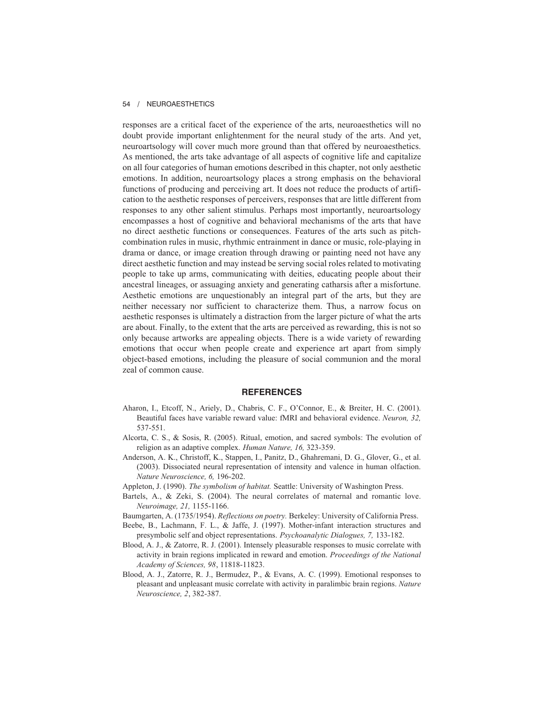responses are a critical facet of the experience of the arts, neuroaesthetics will no doubt provide important enlightenment for the neural study of the arts. And yet, neuroartsology will cover much more ground than that offered by neuroaesthetics. As mentioned, the arts take advantage of all aspects of cognitive life and capitalize on all four categories of human emotions described in this chapter, not only aesthetic emotions. In addition, neuroartsology places a strong emphasis on the behavioral functions of producing and perceiving art. It does not reduce the products of artification to the aesthetic responses of perceivers, responses that are little different from responses to any other salient stimulus. Perhaps most importantly, neuroartsology encompasses a host of cognitive and behavioral mechanisms of the arts that have no direct aesthetic functions or consequences. Features of the arts such as pitchcombination rules in music, rhythmic entrainment in dance or music, role-playing in drama or dance, or image creation through drawing or painting need not have any direct aesthetic function and may instead be serving social roles related to motivating people to take up arms, communicating with deities, educating people about their ancestral lineages, or assuaging anxiety and generating catharsis after a misfortune. Aesthetic emotions are unquestionably an integral part of the arts, but they are neither necessary nor sufficient to characterize them. Thus, a narrow focus on aesthetic responses is ultimately a distraction from the larger picture of what the arts are about. Finally, to the extent that the arts are perceived as rewarding, this is not so only because artworks are appealing objects. There is a wide variety of rewarding emotions that occur when people create and experience art apart from simply object-based emotions, including the pleasure of social communion and the moral zeal of common cause.

## **REFERENCES**

- Aharon, I., Etcoff, N., Ariely, D., Chabris, C. F., O'Connor, E., & Breiter, H. C. (2001). Beautiful faces have variable reward value: fMRI and behavioral evidence. *Neuron, 32,* 537-551.
- Alcorta, C. S., & Sosis, R. (2005). Ritual, emotion, and sacred symbols: The evolution of religion as an adaptive complex. *Human Nature, 16,* 323-359.
- Anderson, A. K., Christoff, K., Stappen, I., Panitz, D., Ghahremani, D. G., Glover, G., et al. (2003). Dissociated neural representation of intensity and valence in human olfaction. *Nature Neuroscience, 6,* 196-202.
- Appleton, J. (1990). *The symbolism of habitat.* Seattle: University of Washington Press.
- Bartels, A., & Zeki, S. (2004). The neural correlates of maternal and romantic love. *Neuroimage, 21,* 1155-1166.
- Baumgarten, A. (1735/1954). *Reflections on poetry.* Berkeley: University of California Press.
- Beebe, B., Lachmann, F. L., & Jaffe, J. (1997). Mother-infant interaction structures and presymbolic self and object representations. *Psychoanalytic Dialogues, 7,* 133-182.
- Blood, A. J., & Zatorre, R. J. (2001). Intensely pleasurable responses to music correlate with activity in brain regions implicated in reward and emotion. *Proceedings of the National Academy of Sciences, 98*, 11818-11823.
- Blood, A. J., Zatorre, R. J., Bermudez, P., & Evans, A. C. (1999). Emotional responses to pleasant and unpleasant music correlate with activity in paralimbic brain regions. *Nature Neuroscience, 2*, 382-387.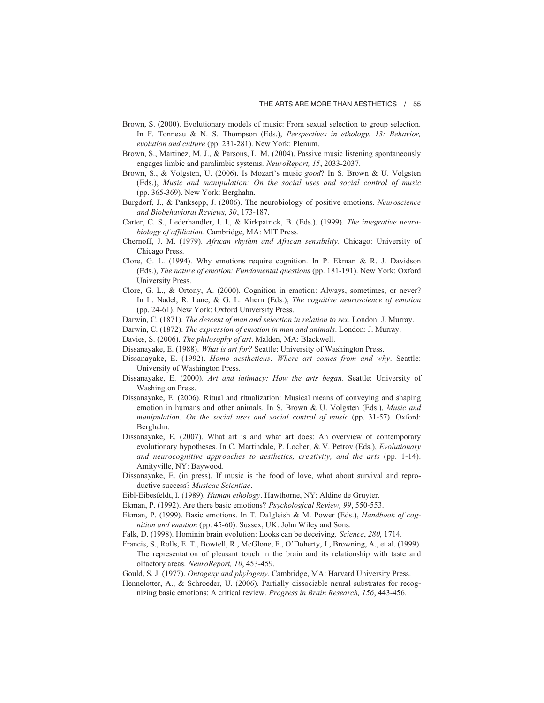- Brown, S. (2000). Evolutionary models of music: From sexual selection to group selection. In F. Tonneau & N. S. Thompson (Eds.), *Perspectives in ethology. 13: Behavior, evolution and culture* (pp. 231-281). New York: Plenum.
- Brown, S., Martinez, M. J., & Parsons, L. M. (2004). Passive music listening spontaneously engages limbic and paralimbic systems. *NeuroReport, 15*, 2033-2037.
- Brown, S., & Volgsten, U. (2006). Is Mozart's music *good*? In S. Brown & U. Volgsten (Eds.), *Music and manipulation: On the social uses and social control of music* (pp. 365-369). New York: Berghahn.
- Burgdorf, J., & Panksepp, J. (2006). The neurobiology of positive emotions. *Neuroscience and Biobehavioral Reviews, 30*, 173-187.
- Carter, C. S., Lederhandler, I. I., & Kirkpatrick, B. (Eds.). (1999). *The integrative neurobiology of affiliation*. Cambridge, MA: MIT Press.
- Chernoff, J. M. (1979). *African rhythm and African sensibility*. Chicago: University of Chicago Press.
- Clore, G. L. (1994). Why emotions require cognition. In P. Ekman & R. J. Davidson (Eds.), *The nature of emotion: Fundamental questions* (pp. 181-191). New York: Oxford University Press.
- Clore, G. L., & Ortony, A. (2000). Cognition in emotion: Always, sometimes, or never? In L. Nadel, R. Lane, & G. L. Ahern (Eds.), *The cognitive neuroscience of emotion* (pp. 24-61). New York: Oxford University Press.
- Darwin, C. (1871). *The descent of man and selection in relation to sex*. London: J. Murray.
- Darwin, C. (1872). *The expression of emotion in man and animals*. London: J. Murray.
- Davies, S. (2006). *The philosophy of art*. Malden, MA: Blackwell.
- Dissanayake, E. (1988). *What is art for?* Seattle: University of Washington Press.
- Dissanayake, E. (1992). *Homo aestheticus: Where art comes from and why*. Seattle: University of Washington Press.
- Dissanayake, E. (2000). *Art and intimacy: How the arts began*. Seattle: University of Washington Press.
- Dissanayake, E. (2006). Ritual and ritualization: Musical means of conveying and shaping emotion in humans and other animals. In S. Brown & U. Volgsten (Eds.), *Music and manipulation: On the social uses and social control of music* (pp. 31-57). Oxford: Berghahn.
- Dissanayake, E. (2007). What art is and what art does: An overview of contemporary evolutionary hypotheses. In C. Martindale, P. Locher, & V. Petrov (Eds.), *Evolutionary and neurocognitive approaches to aesthetics, creativity, and the arts* (pp. 1-14). Amityville, NY: Baywood.
- Dissanayake, E. (in press). If music is the food of love, what about survival and reproductive success? *Musicae Scientiae*.
- Eibl-Eibesfeldt, I. (1989). *Human ethology*. Hawthorne, NY: Aldine de Gruyter.
- Ekman, P. (1992). Are there basic emotions? *Psychological Review, 99*, 550-553.
- Ekman, P. (1999). Basic emotions. In T. Dalgleish & M. Power (Eds.), *Handbook of cognition and emotion* (pp. 45-60). Sussex, UK: John Wiley and Sons.
- Falk, D. (1998). Hominin brain evolution: Looks can be deceiving. *Science*, *280,* 1714.
- Francis, S., Rolls, E. T., Bowtell, R., McGlone, F., O'Doherty, J., Browning, A., et al. (1999). The representation of pleasant touch in the brain and its relationship with taste and olfactory areas. *NeuroReport, 10*, 453-459.
- Gould, S. J. (1977). *Ontogeny and phylogeny*. Cambridge, MA: Harvard University Press.
- Hennelotter, A., & Schroeder, U. (2006). Partially dissociable neural substrates for recognizing basic emotions: A critical review. *Progress in Brain Research, 156*, 443-456.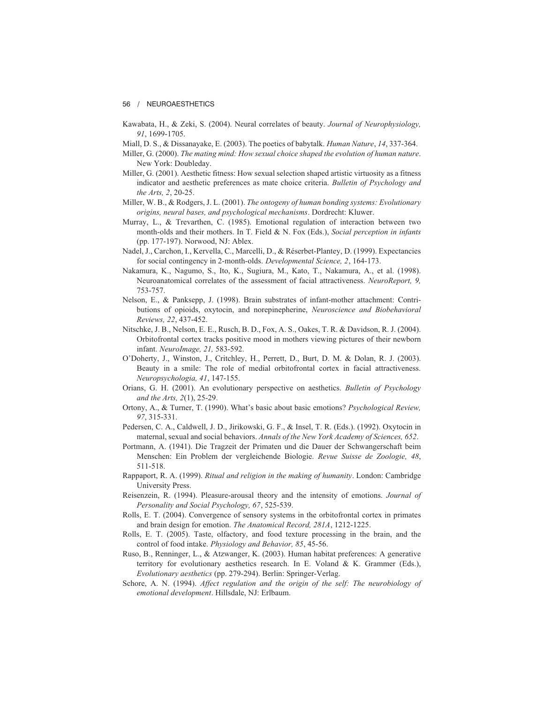- Kawabata, H., & Zeki, S. (2004). Neural correlates of beauty. *Journal of Neurophysiology, 91*, 1699-1705.
- Miall, D. S., & Dissanayake, E. (2003). The poetics of babytalk. *Human Nature*, *14*, 337-364.
- Miller, G. (2000). *The mating mind: How sexual choice shaped the evolution of human nature*. New York: Doubleday.
- Miller, G. (2001). Aesthetic fitness: How sexual selection shaped artistic virtuosity as a fitness indicator and aesthetic preferences as mate choice criteria. *Bulletin of Psychology and the Arts, 2*, 20-25.
- Miller, W. B., & Rodgers, J. L. (2001). *The ontogeny of human bonding systems: Evolutionary origins, neural bases, and psychological mechanisms*. Dordrecht: Kluwer.
- Murray, L., & Trevarthen, C. (1985). Emotional regulation of interaction between two month-olds and their mothers. In T. Field & N. Fox (Eds.), *Social perception in infants* (pp. 177-197). Norwood, NJ: Ablex.
- Nadel, J., Carchon, I., Kervella, C., Marcelli, D., & Réserbet-Plantey, D. (1999). Expectancies for social contingency in 2-month-olds. *Developmental Science, 2*, 164-173.
- Nakamura, K., Nagumo, S., Ito, K., Sugiura, M., Kato, T., Nakamura, A., et al. (1998). Neuroanatomical correlates of the assessment of facial attractiveness. *NeuroReport, 9,* 753-757.
- Nelson, E., & Panksepp, J. (1998). Brain substrates of infant-mother attachment: Contributions of opioids, oxytocin, and norepinepherine, *Neuroscience and Biobehavioral Reviews, 22*, 437-452.
- Nitschke, J. B., Nelson, E. E., Rusch, B. D., Fox, A. S., Oakes, T. R. & Davidson, R. J. (2004). Orbitofrontal cortex tracks positive mood in mothers viewing pictures of their newborn infant. *NeuroImage, 21,* 583-592.
- O'Doherty, J., Winston, J., Critchley, H., Perrett, D., Burt, D. M. & Dolan, R. J. (2003). Beauty in a smile: The role of medial orbitofrontal cortex in facial attractiveness. *Neuropsychologia, 41*, 147-155.
- Orians, G. H. (2001). An evolutionary perspective on aesthetics. *Bulletin of Psychology and the Arts, 2*(1), 25-29.
- Ortony, A., & Turner, T. (1990). What's basic about basic emotions? *Psychological Review, 97*, 315-331.
- Pedersen, C. A., Caldwell, J. D., Jirikowski, G. F., & Insel, T. R. (Eds.). (1992). Oxytocin in maternal, sexual and social behaviors. *Annals of the New York Academy of Sciences, 652*.
- Portmann, A. (1941). Die Tragzeit der Primaten und die Dauer der Schwangerschaft beim Menschen: Ein Problem der vergleichende Biologie. *Revue Suisse de Zoologie, 48*, 511-518.
- Rappaport, R. A. (1999). *Ritual and religion in the making of humanity*. London: Cambridge University Press.
- Reisenzein, R. (1994). Pleasure-arousal theory and the intensity of emotions. *Journal of Personality and Social Psychology, 67*, 525-539.
- Rolls, E. T. (2004). Convergence of sensory systems in the orbitofrontal cortex in primates and brain design for emotion. *The Anatomical Record, 281A*, 1212-1225.
- Rolls, E. T. (2005). Taste, olfactory, and food texture processing in the brain, and the control of food intake. *Physiology and Behavior, 85*, 45-56.
- Ruso, B., Renninger, L., & Atzwanger, K. (2003). Human habitat preferences: A generative territory for evolutionary aesthetics research. In E. Voland & K. Grammer (Eds.), *Evolutionary aesthetics* (pp. 279-294). Berlin: Springer-Verlag.
- Schore, A. N. (1994). *Affect regulation and the origin of the self: The neurobiology of emotional development*. Hillsdale, NJ: Erlbaum.